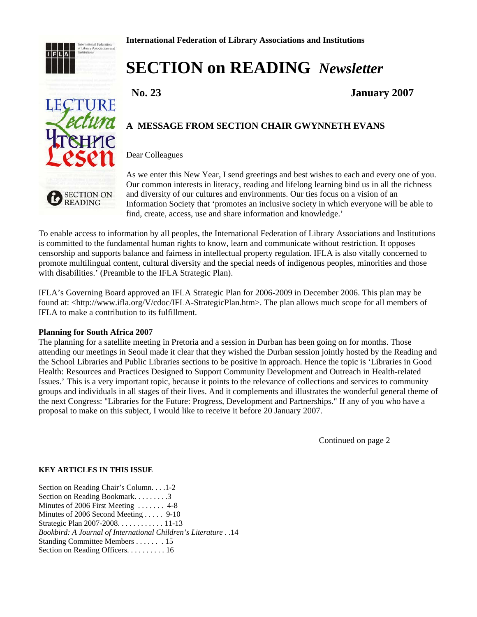

**LECTURE** 

ectura

# **SECTION on READING** *Newsletter*

 **No. 23 January 2007**

# **A MESSAGE FROM SECTION CHAIR GWYNNETH EVANS**

#### Dear Colleagues

**SECTION ON READING** 

As we enter this New Year, I send greetings and best wishes to each and every one of you. Our common interests in literacy, reading and lifelong learning bind us in all the richness and diversity of our cultures and environments. Our ties focus on a vision of an Information Society that 'promotes an inclusive society in which everyone will be able to find, create, access, use and share information and knowledge.'

To enable access to information by all peoples, the International Federation of Library Associations and Institutions is committed to the fundamental human rights to know, learn and communicate without restriction. It opposes censorship and supports balance and fairness in intellectual property regulation. IFLA is also vitally concerned to promote multilingual content, cultural diversity and the special needs of indigenous peoples, minorities and those with disabilities.' (Preamble to the IFLA Strategic Plan).

IFLA's Governing Board approved an IFLA Strategic Plan for 2006-2009 in December 2006. This plan may be found at: <http://www.ifla.org/V/cdoc/IFLA-StrategicPlan.htm>. The plan allows much scope for all members of IFLA to make a contribution to its fulfillment.

#### **Planning for South Africa 2007**

The planning for a satellite meeting in Pretoria and a session in Durban has been going on for months. Those attending our meetings in Seoul made it clear that they wished the Durban session jointly hosted by the Reading and the School Libraries and Public Libraries sections to be positive in approach. Hence the topic is 'Libraries in Good Health: Resources and Practices Designed to Support Community Development and Outreach in Health-related Issues.' This is a very important topic, because it points to the relevance of collections and services to community groups and individuals in all stages of their lives. And it complements and illustrates the wonderful general theme of the next Congress: "Libraries for the Future: Progress, Development and Partnerships." If any of you who have a proposal to make on this subject, I would like to receive it before 20 January 2007.

Continued on page 2

#### **KEY ARTICLES IN THIS ISSUE**

Section on Reading Chair's Column. . . .1-2 Section on Reading Bookmark. . . . . . . . . 3 Minutes of 2006 First Meeting ....... 4-8 Minutes of 2006 Second Meeting . . . . . 9-10 Strategic Plan 2007-2008. . . . . . . . . . . . 11-13 *Bookbird: A Journal of International Children's Literature* . .14 Standing Committee Members . . . . . . . 15 Section on Reading Officers. . . . . . . . . . 16

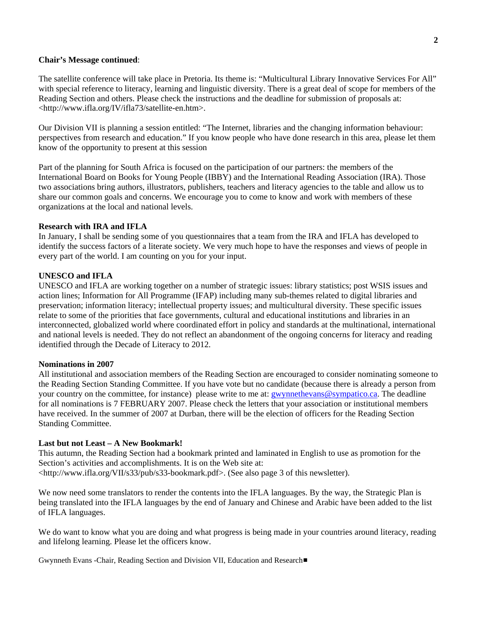#### **Chair's Message continued**:

The satellite conference will take place in Pretoria. Its theme is: "Multicultural Library Innovative Services For All" with special reference to literacy, learning and linguistic diversity. There is a great deal of scope for members of the Reading Section and others. Please check the instructions and the deadline for submission of proposals at: <http://www.ifla.org/IV/ifla73/satellite-en.htm>.

Our Division VII is planning a session entitled: "The Internet, libraries and the changing information behaviour: perspectives from research and education." If you know people who have done research in this area, please let them know of the opportunity to present at this session

Part of the planning for South Africa is focused on the participation of our partners: the members of the International Board on Books for Young People (IBBY) and the International Reading Association (IRA). Those two associations bring authors, illustrators, publishers, teachers and literacy agencies to the table and allow us to share our common goals and concerns. We encourage you to come to know and work with members of these organizations at the local and national levels.

#### **Research with IRA and IFLA**

In January, I shall be sending some of you questionnaires that a team from the IRA and IFLA has developed to identify the success factors of a literate society. We very much hope to have the responses and views of people in every part of the world. I am counting on you for your input.

#### **UNESCO and IFLA**

UNESCO and IFLA are working together on a number of strategic issues: library statistics; post WSIS issues and action lines; Information for All Programme (IFAP) including many sub-themes related to digital libraries and preservation; information literacy; intellectual property issues; and multicultural diversity. These specific issues relate to some of the priorities that face governments, cultural and educational institutions and libraries in an interconnected, globalized world where coordinated effort in policy and standards at the multinational, international and national levels is needed. They do not reflect an abandonment of the ongoing concerns for literacy and reading identified through the Decade of Literacy to 2012.

#### **Nominations in 2007**

All institutional and association members of the Reading Section are encouraged to consider nominating someone to the Reading Section Standing Committee. If you have vote but no candidate (because there is already a person from your country on the committee, for instance) please write to me at: **gwynnethevans@sympatico.ca**. The deadline for all nominations is 7 FEBRUARY 2007. Please check the letters that your association or institutional members have received. In the summer of 2007 at Durban, there will be the election of officers for the Reading Section Standing Committee.

#### **Last but not Least – A New Bookmark!**

This autumn, the Reading Section had a bookmark printed and laminated in English to use as promotion for the Section's activities and accomplishments. It is on the Web site at:

<http://www.ifla.org/VII/s33/pub/s33-bookmark.pdf>. (See also page 3 of this newsletter).

We now need some translators to render the contents into the IFLA languages. By the way, the Strategic Plan is being translated into the IFLA languages by the end of January and Chinese and Arabic have been added to the list of IFLA languages.

We do want to know what you are doing and what progress is being made in your countries around literacy, reading and lifelong learning. Please let the officers know.

Gwynneth Evans -Chair, Reading Section and Division VII, Education and Research#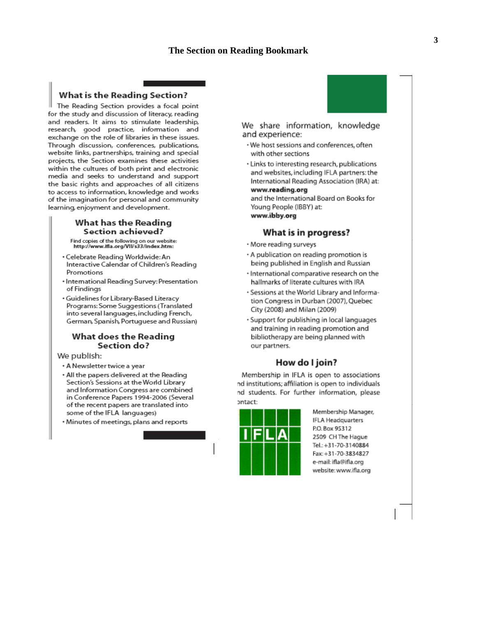# **The Section on Reading Bookmark**

#### **What is the Reading Section?**

The Reading Section provides a focal point for the study and discussion of literacy, reading and readers. It aims to stimulate leadership, research, good practice, information and exchange on the role of libraries in these issues. Through discussion, conferences, publications, website links, partnerships, training and special projects, the Section examines these activities within the cultures of both print and electronic media and seeks to understand and support the basic rights and approaches of all citizens to access to information, knowledge and works of the imagination for personal and community learning, enjoyment and development.

#### What has the Reading Section achieved?

Find copies of the following on our website:<br>http://www.ifla.org/VII/s33/index.htm:

- · Celebrate Reading Worldwide: An Interactive Calendar of Children's Reading Promotions
- · International Reading Survey: Presentation of Findings
- · Guidelines for Library-Based Literacy Programs: Some Suggestions (Translated into several languages, including French, German, Spanish, Portuguese and Russian)

#### What does the Reading Section do?

We publish:

- A Newsletter twice a year
- . All the papers delivered at the Reading Section's Sessions at the World Library and Information Congress are combined in Conference Papers 1994-2006 (Several of the recent papers are translated into some of the IFLA languages)
- · Minutes of meetings, plans and reports

#### We share information, knowledge and experience:

- · We host sessions and conferences, often with other sections
- · Links to interesting research, publications and websites, including IFLA partners: the International Reading Association (IRA) at: www.reading.org

and the International Board on Books for Young People (IBBY) at: www.ibby.org

#### What is in progress?

- · More reading surveys
- · A publication on reading promotion is being published in English and Russian
- · International comparative research on the hallmarks of literate cultures with IRA
- · Sessions at the World Library and Information Congress in Durban (2007), Quebec City (2008) and Milan (2009)
- · Support for publishing in local languages and training in reading promotion and bibliotherapy are being planned with our partners.

#### How do I join?

Membership in IFLA is open to associations nd institutions; affiliation is open to individuals nd students. For further information, please ontact:



Membership Manager, **IFLA Headquarters** P.O. Box 95312 2509 CH The Hague Tel.: +31-70-3140884 Fax: +31-70-3834827 e-mail: ifla@ifla.org website: www.ifla.org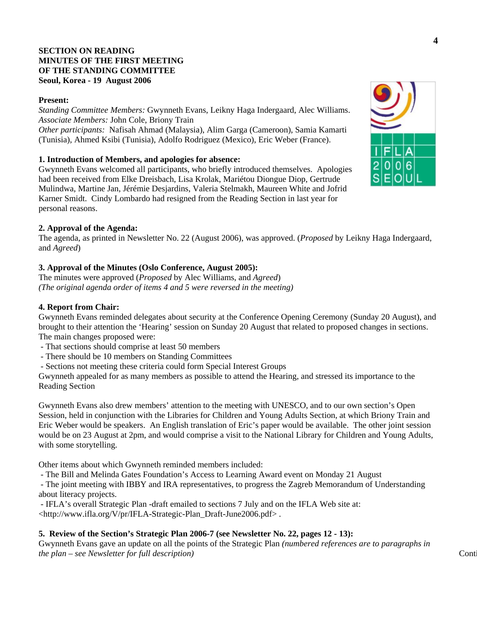# **SECTION ON READING MINUTES OF THE FIRST MEETING OF THE STANDING COMMITTEE Seoul, Korea - 19 August 2006**

## **Present:**

*Standing Committee Members:* Gwynneth Evans, Leikny Haga Indergaard, Alec Williams. *Associate Members:* John Cole, Briony Train *Other participants:* Nafisah Ahmad (Malaysia), Alim Garga (Cameroon), Samia Kamarti (Tunisia), Ahmed Ksibi (Tunisia), Adolfo Rodriguez (Mexico), Eric Weber (France).

# **1. Introduction of Members, and apologies for absence:**

Gwynneth Evans welcomed all participants, who briefly introduced themselves. Apologies had been received from Elke Dreisbach, Lisa Krolak, Mariétou Diongue Diop, Gertrude Mulindwa, Martine Jan, Jérémie Desjardins, Valeria Stelmakh, Maureen White and Jofrid Karner Smidt. Cindy Lombardo had resigned from the Reading Section in last year for personal reasons.

# **2. Approval of the Agenda:**

The agenda, as printed in Newsletter No. 22 (August 2006), was approved. (*Proposed* by Leikny Haga Indergaard, and *Agreed*)

# **3. Approval of the Minutes (Oslo Conference, August 2005):**

The minutes were approved (*Proposed* by Alec Williams, and *Agreed*) *(The original agenda order of items 4 and 5 were reversed in the meeting)* 

## **4. Report from Chair:**

Gwynneth Evans reminded delegates about security at the Conference Opening Ceremony (Sunday 20 August), and brought to their attention the 'Hearing' session on Sunday 20 August that related to proposed changes in sections. The main changes proposed were:

- That sections should comprise at least 50 members
- There should be 10 members on Standing Committees
- Sections not meeting these criteria could form Special Interest Groups

Gwynneth appealed for as many members as possible to attend the Hearing, and stressed its importance to the Reading Section

Gwynneth Evans also drew members' attention to the meeting with UNESCO, and to our own section's Open Session, held in conjunction with the Libraries for Children and Young Adults Section, at which Briony Train and Eric Weber would be speakers. An English translation of Eric's paper would be available. The other joint session would be on 23 August at 2pm, and would comprise a visit to the National Library for Children and Young Adults, with some storytelling.

Other items about which Gwynneth reminded members included:

- The Bill and Melinda Gates Foundation's Access to Learning Award event on Monday 21 August

 - The joint meeting with IBBY and IRA representatives, to progress the Zagreb Memorandum of Understanding about literacy projects.

 - IFLA's overall Strategic Plan -draft emailed to sections 7 July and on the IFLA Web site at: <http://www.ifla.org/V/pr/IFLA-Strategic-Plan\_Draft-June2006.pdf> .

## **5. Review of the Section's Strategic Plan 2006-7 (see Newsletter No. 22, pages 12 - 13):**

Gwynneth Evans gave an update on all the points of the Strategic Plan *(numbered references are to paragraphs in the plan – see Newsletter for full description*) Continues and the plan – see Newsletter for full description)

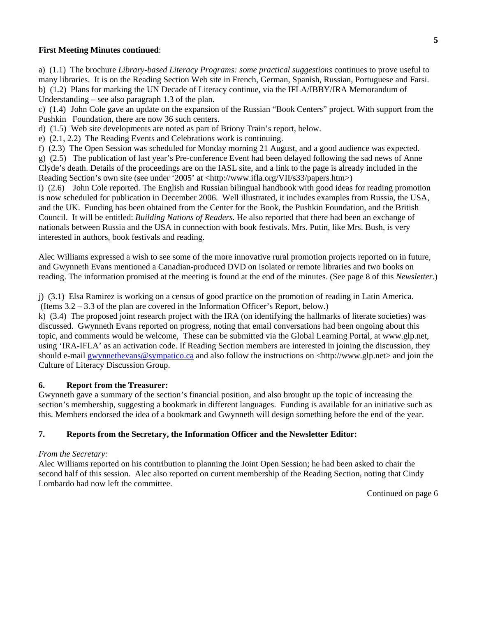#### **First Meeting Minutes continued**:

a) (1.1) The brochure *Library-based Literacy Programs: some practical suggestions* continues to prove useful to many libraries. It is on the Reading Section Web site in French, German, Spanish, Russian, Portuguese and Farsi. b) (1.2) Plans for marking the UN Decade of Literacy continue, via the IFLA/IBBY/IRA Memorandum of Understanding – see also paragraph 1.3 of the plan.

c) (1.4) John Cole gave an update on the expansion of the Russian "Book Centers" project. With support from the Pushkin Foundation, there are now 36 such centers.

d) (1.5) Web site developments are noted as part of Briony Train's report, below.

e) (2.1, 2.2) The Reading Events and Celebrations work is continuing.

f) (2.3) The Open Session was scheduled for Monday morning 21 August, and a good audience was expected.

g) (2.5) The publication of last year's Pre-conference Event had been delayed following the sad news of Anne Clyde's death. Details of the proceedings are on the IASL site, and a link to the page is already included in the Reading Section's own site (see under '2005' at <http://www.ifla.org/VII/s33/papers.htm>)

i) (2.6) John Cole reported. The English and Russian bilingual handbook with good ideas for reading promotion is now scheduled for publication in December 2006. Well illustrated, it includes examples from Russia, the USA, and the UK. Funding has been obtained from the Center for the Book, the Pushkin Foundation, and the British Council. It will be entitled: *Building Nations of Readers.* He also reported that there had been an exchange of nationals between Russia and the USA in connection with book festivals. Mrs. Putin, like Mrs. Bush, is very interested in authors, book festivals and reading.

Alec Williams expressed a wish to see some of the more innovative rural promotion projects reported on in future, and Gwynneth Evans mentioned a Canadian-produced DVD on isolated or remote libraries and two books on reading. The information promised at the meeting is found at the end of the minutes. (See page 8 of this *Newsletter*.)

j) (3.1) Elsa Ramirez is working on a census of good practice on the promotion of reading in Latin America. (Items 3.2 – 3.3 of the plan are covered in the Information Officer's Report, below.)

k) (3.4) The proposed joint research project with the IRA (on identifying the hallmarks of literate societies) was discussed. Gwynneth Evans reported on progress, noting that email conversations had been ongoing about this topic, and comments would be welcome, These can be submitted via the Global Learning Portal, at www.glp.net, using 'IRA-IFLA' as an activation code. If Reading Section members are interested in joining the discussion, they should e-mail [gwynnethevans@sympatico.ca](mailto:gwynnethevans@sympatico.ca) and also follow the instructions on  $\ltminus$ http://www.glp.net> and join the Culture of Literacy Discussion Group.

# **6. Report from the Treasurer:**

Gwynneth gave a summary of the section's financial position, and also brought up the topic of increasing the section's membership, suggesting a bookmark in different languages. Funding is available for an initiative such as this. Members endorsed the idea of a bookmark and Gwynneth will design something before the end of the year.

## **7. Reports from the Secretary, the Information Officer and the Newsletter Editor:**

#### *From the Secretary:*

Alec Williams reported on his contribution to planning the Joint Open Session; he had been asked to chair the second half of this session. Alec also reported on current membership of the Reading Section, noting that Cindy Lombardo had now left the committee.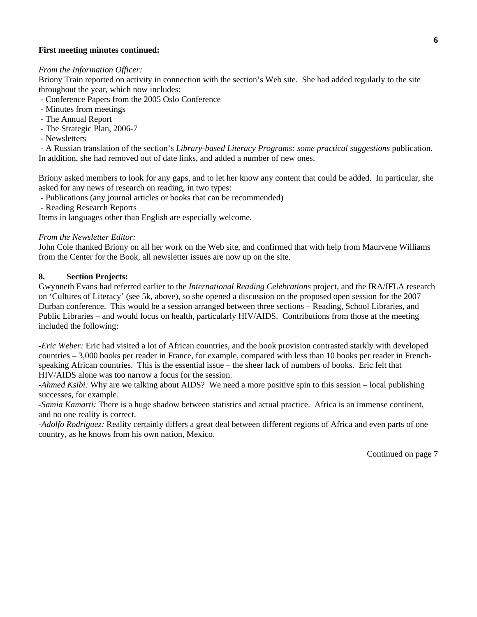## **First meeting minutes continued:**

#### *From the Information Officer:*

Briony Train reported on activity in connection with the section's Web site. She had added regularly to the site throughout the year, which now includes:

- Conference Papers from the 2005 Oslo Conference
- Minutes from meetings
- The Annual Report
- The Strategic Plan, 2006-7
- Newsletters

 - A Russian translation of the section's *Library-based Literacy Programs: some practical suggestions* publication. In addition, she had removed out of date links, and added a number of new ones.

Briony asked members to look for any gaps, and to let her know any content that could be added. In particular, she asked for any news of research on reading, in two types:

- Publications (any journal articles or books that can be recommended)
- Reading Research Reports

Items in languages other than English are especially welcome.

#### *From the Newsletter Editor:*

John Cole thanked Briony on all her work on the Web site, and confirmed that with help from Maurvene Williams from the Center for the Book, all newsletter issues are now up on the site.

#### **8. Section Projects:**

Gwynneth Evans had referred earlier to the *International Reading Celebrations* project, and the IRA/IFLA research on 'Cultures of Literacy' (see 5k, above), so she opened a discussion on the proposed open session for the 2007 Durban conference. This would be a session arranged between three sections – Reading, School Libraries, and Public Libraries – and would focus on health, particularly HIV/AIDS. Contributions from those at the meeting included the following:

*-Eric Weber:* Eric had visited a lot of African countries, and the book provision contrasted starkly with developed countries – 3,000 books per reader in France, for example, compared with less than 10 books per reader in Frenchspeaking African countries. This is the essential issue – the sheer lack of numbers of books. Eric felt that HIV/AIDS alone was too narrow a focus for the session.

-*Ahmed Ksibi:* Why are we talking about AIDS? We need a more positive spin to this session – local publishing successes, for example.

-*Samia Kamarti:* There is a huge shadow between statistics and actual practice. Africa is an immense continent, and no one reality is correct.

-*Adolfo Rodriguez:* Reality certainly differs a great deal between different regions of Africa and even parts of one country, as he knows from his own nation, Mexico.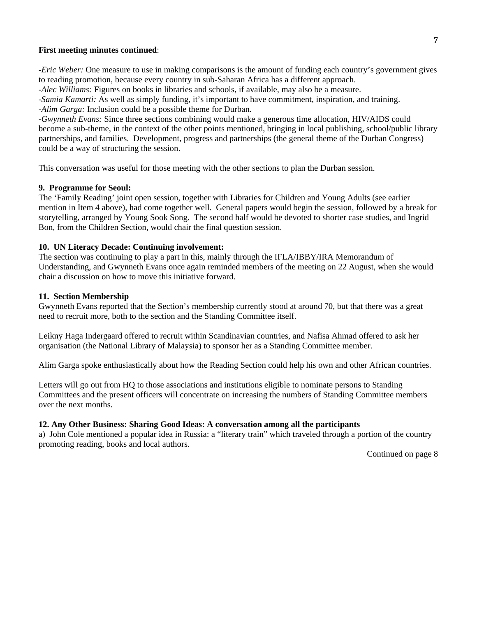#### **First meeting minutes continued**:

*-Eric Weber:* One measure to use in making comparisons is the amount of funding each country's government gives to reading promotion, because every country in sub-Saharan Africa has a different approach.

-*Alec Williams:* Figures on books in libraries and schools, if available, may also be a measure.

-*Samia Kamarti:* As well as simply funding, it's important to have commitment, inspiration, and training.

-*Alim Garga:* Inclusion could be a possible theme for Durban.

-*Gwynneth Evans:* Since three sections combining would make a generous time allocation, HIV/AIDS could become a sub-theme, in the context of the other points mentioned, bringing in local publishing, school/public library partnerships, and families. Development, progress and partnerships (the general theme of the Durban Congress) could be a way of structuring the session.

This conversation was useful for those meeting with the other sections to plan the Durban session.

#### **9. Programme for Seoul:**

The 'Family Reading' joint open session, together with Libraries for Children and Young Adults (see earlier mention in Item 4 above), had come together well. General papers would begin the session, followed by a break for storytelling, arranged by Young Sook Song. The second half would be devoted to shorter case studies, and Ingrid Bon, from the Children Section, would chair the final question session.

#### **10. UN Literacy Decade: Continuing involvement:**

The section was continuing to play a part in this, mainly through the IFLA/IBBY/IRA Memorandum of Understanding, and Gwynneth Evans once again reminded members of the meeting on 22 August, when she would chair a discussion on how to move this initiative forward.

#### **11. Section Membership**

Gwynneth Evans reported that the Section's membership currently stood at around 70, but that there was a great need to recruit more, both to the section and the Standing Committee itself.

Leikny Haga Indergaard offered to recruit within Scandinavian countries, and Nafisa Ahmad offered to ask her organisation (the National Library of Malaysia) to sponsor her as a Standing Committee member.

Alim Garga spoke enthusiastically about how the Reading Section could help his own and other African countries.

Letters will go out from HQ to those associations and institutions eligible to nominate persons to Standing Committees and the present officers will concentrate on increasing the numbers of Standing Committee members over the next months.

# **12. Any Other Business: Sharing Good Ideas: A conversation among all the participants**

a) John Cole mentioned a popular idea in Russia: a "literary train" which traveled through a portion of the country promoting reading, books and local authors.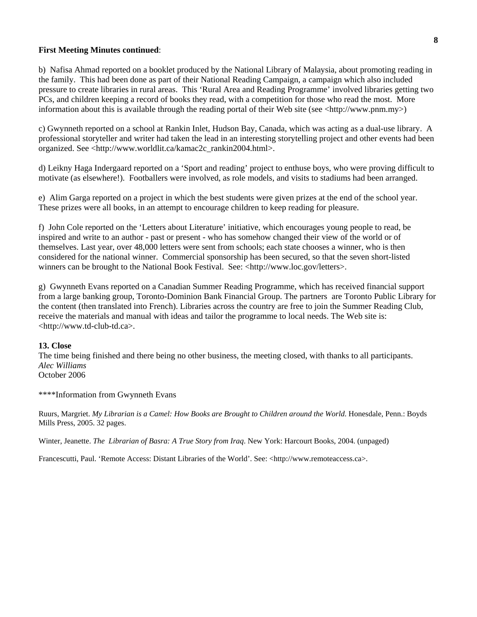#### **First Meeting Minutes continued**:

b) Nafisa Ahmad reported on a booklet produced by the National Library of Malaysia, about promoting reading in the family. This had been done as part of their National Reading Campaign, a campaign which also included pressure to create libraries in rural areas. This 'Rural Area and Reading Programme' involved libraries getting two PCs, and children keeping a record of books they read, with a competition for those who read the most. More information about this is available through the reading portal of their Web site (see  $\langle$ http://www.pnm.my>)

c) Gwynneth reported on a school at Rankin Inlet, Hudson Bay, Canada, which was acting as a dual-use library. A professional storyteller and writer had taken the lead in an interesting storytelling project and other events had been organized. See <http://www.worldlit.ca/kamac2c\_rankin2004.html>.

d) Leikny Haga Indergaard reported on a 'Sport and reading' project to enthuse boys, who were proving difficult to motivate (as elsewhere!). Footballers were involved, as role models, and visits to stadiums had been arranged.

e) Alim Garga reported on a project in which the best students were given prizes at the end of the school year. These prizes were all books, in an attempt to encourage children to keep reading for pleasure.

f) John Cole reported on the 'Letters about Literature' initiative, which encourages young people to read, be inspired and write to an author - past or present - who has somehow changed their view of the world or of themselves. Last year, over 48,000 letters were sent from schools; each state chooses a winner, who is then considered for the national winner. Commercial sponsorship has been secured, so that the seven short-listed winners can be brought to the National Book Festival. See: <http://www.loc.gov/letters>.

g) Gwynneth Evans reported on a Canadian Summer Reading Programme, which has received financial support from a large banking group, Toronto-Dominion Bank Financial Group. The partners are Toronto Public Library for the content (then translated into French). Libraries across the country are free to join the Summer Reading Club, receive the materials and manual with ideas and tailor the programme to local needs. The Web site is: <http://www.td-club-td.ca>.

#### **13. Close**

The time being finished and there being no other business, the meeting closed, with thanks to all participants. *Alec Williams*  October 2006

\*\*\*\*Information from Gwynneth Evans

Ruurs, Margriet. *My Librarian is a Camel: How Books are Brought to Children around the World*. Honesdale, Penn.: Boyds Mills Press, 2005. 32 pages.

Winter, Jeanette. *The Librarian of Basra: A True Story from Iraq*. New York: Harcourt Books, 2004. (unpaged)

Francescutti, Paul. 'Remote Access: Distant Libraries of the World'. See: <http://www.remoteaccess.ca>.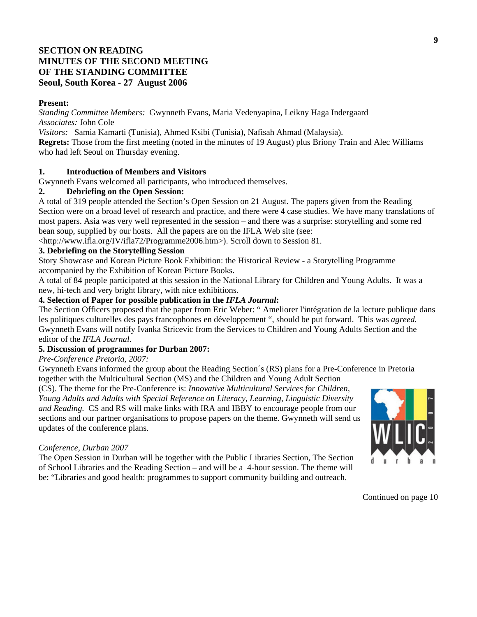# **SECTION ON READING MINUTES OF THE SECOND MEETING OF THE STANDING COMMITTEE Seoul, South Korea - 27 August 2006**

#### **Present:**

*Standing Committee Members:* Gwynneth Evans, Maria Vedenyapina, Leikny Haga Indergaard *Associates:* John Cole

*Visitors:* Samia Kamarti (Tunisia), Ahmed Ksibi (Tunisia), Nafisah Ahmad (Malaysia).

**Regrets:** Those from the first meeting (noted in the minutes of 19 August) plus Briony Train and Alec Williams who had left Seoul on Thursday evening.

# **1. Introduction of Members and Visitors**

Gwynneth Evans welcomed all participants, who introduced themselves.

# **2. Debriefing on the Open Session:**

A total of 319 people attended the Section's Open Session on 21 August. The papers given from the Reading Section were on a broad level of research and practice, and there were 4 case studies. We have many translations of most papers. Asia was very well represented in the session – and there was a surprise: storytelling and some red bean soup, supplied by our hosts. All the papers are on the IFLA Web site (see:

<http://www.ifla.org/IV/ifla72/Programme2006.htm>). Scroll down to Session 81.

# **3. Debriefing on the Storytelling Session**

Story Showcase and Korean Picture Book Exhibition: the Historical Review - a Storytelling Programme accompanied by the Exhibition of Korean Picture Books.

A total of 84 people participated at this session in the National Library for Children and Young Adults. It was a new, hi-tech and very bright library, with nice exhibitions.

# **4. Selection of Paper for possible publication in the** *IFLA Journal***:**

The Section Officers proposed that the paper from Eric Weber: " Ameliorer l'intégration de la lecture publique dans les politiques culturelles des pays francophones en développement ", should be put forward. This was *agreed.* Gwynneth Evans will notify Ivanka Stricevic from the Services to Children and Young Adults Section and the editor of the *IFLA Journal*.

# **5. Discussion of programmes for Durban 2007:**

*Pre-Conference Pretoria, 2007:*

Gwynneth Evans informed the group about the Reading Section´s (RS) plans for a Pre-Conference in Pretoria together with the Multicultural Section (MS) and the Children and Young Adult Section

(CS). The theme for the Pre-Conference is: *Innovative Multicultural Services for Children, Young Adults and Adults with Special Reference on Literacy, Learning, Linguistic Diversity and Reading.* CS and RS will make links with IRA and IBBY to encourage people from our sections and our partner organisations to propose papers on the theme. Gwynneth will send us updates of the conference plans.

## *Conference, Durban 2007*

The Open Session in Durban will be together with the Public Libraries Section, The Section of School Libraries and the Reading Section – and will be a 4-hour session. The theme will be: "Libraries and good health: programmes to support community building and outreach.

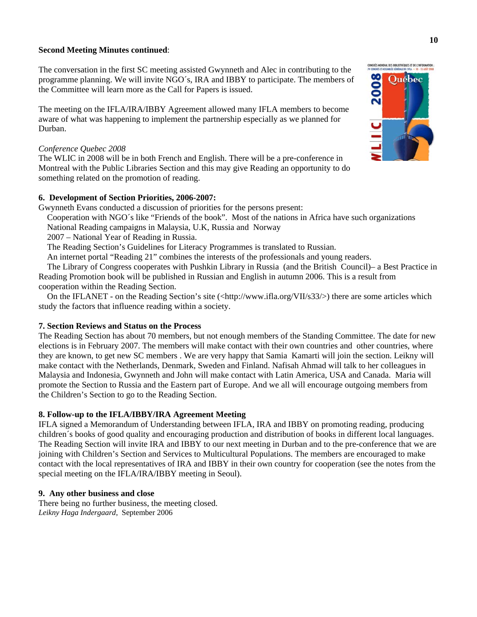#### **Second Meeting Minutes continued**:

The conversation in the first SC meeting assisted Gwynneth and Alec in contributing to the programme planning. We will invite NGO´s, IRA and IBBY to participate. The members of the Committee will learn more as the Call for Papers is issued.

The meeting on the IFLA/IRA/IBBY Agreement allowed many IFLA members to become aware of what was happening to implement the partnership especially as we planned for Durban.

#### *Conference Quebec 2008*

The WLIC in 2008 will be in both French and English. There will be a pre-conference in Montreal with the Public Libraries Section and this may give Reading an opportunity to do something related on the promotion of reading.

#### **6. Development of Section Priorities, 2006-2007:**

Gwynneth Evans conducted a discussion of priorities for the persons present:

Cooperation with NGO´s like "Friends of the book". Most of the nations in Africa have such organizations

National Reading campaigns in Malaysia, U.K, Russia and Norway

2007 – National Year of Reading in Russia.

The Reading Section's Guidelines for Literacy Programmes is translated to Russian.

An internet portal "Reading 21" combines the interests of the professionals and young readers.

 The Library of Congress cooperates with Pushkin Library in Russia (and the British Council)– a Best Practice in Reading Promotion book will be published in Russian and English in autumn 2006. This is a result from cooperation within the Reading Section.

On the IFLANET - on the Reading Section's site (<http://www.ifla.org/VII/s33/>) there are some articles which study the factors that influence reading within a society.

## **7. Section Reviews and Status on the Process**

The Reading Section has about 70 members, but not enough members of the Standing Committee. The date for new elections is in February 2007. The members will make contact with their own countries and other countries, where they are known, to get new SC members . We are very happy that Samia Kamarti will join the section. Leikny will make contact with the Netherlands, Denmark, Sweden and Finland. Nafisah Ahmad will talk to her colleagues in Malaysia and Indonesia, Gwynneth and John will make contact with Latin America, USA and Canada. Maria will promote the Section to Russia and the Eastern part of Europe. And we all will encourage outgoing members from the Children's Section to go to the Reading Section.

## **8. Follow-up to the IFLA/IBBY/IRA Agreement Meeting**

IFLA signed a Memorandum of Understanding between IFLA, IRA and IBBY on promoting reading, producing children´s books of good quality and encouraging production and distribution of books in different local languages. The Reading Section will invite IRA and IBBY to our next meeting in Durban and to the pre-conference that we are joining with Children's Section and Services to Multicultural Populations. The members are encouraged to make contact with the local representatives of IRA and IBBY in their own country for cooperation (see the notes from the special meeting on the IFLA/IRA/IBBY meeting in Seoul).

## **9. Any other business and close**

There being no further business, the meeting closed. *Leikny Haga Indergaard*, September 2006

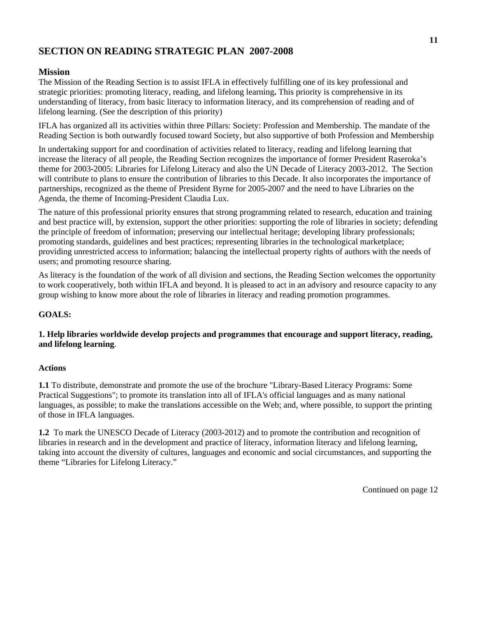# **SECTION ON READING STRATEGIC PLAN 2007-2008**

# **Mission**

The Mission of the Reading Section is to assist IFLA in effectively fulfilling one of its key professional and strategic priorities: promoting literacy, reading, and lifelong learning**.** This priority is comprehensive in its understanding of literacy, from basic literacy to information literacy, and its comprehension of reading and of lifelong learning. (See the description of this priority)

IFLA has organized all its activities within three Pillars: Society: Profession and Membership. The mandate of the Reading Section is both outwardly focused toward Society, but also supportive of both Profession and Membership

In undertaking support for and coordination of activities related to literacy, reading and lifelong learning that increase the literacy of all people, the Reading Section recognizes the importance of former President Raseroka's theme for 2003-2005: Libraries for Lifelong Literacy and also the UN Decade of Literacy 2003-2012. The Section will contribute to plans to ensure the contribution of libraries to this Decade. It also incorporates the importance of partnerships, recognized as the theme of President Byrne for 2005-2007 and the need to have Libraries on the Agenda, the theme of Incoming-President Claudia Lux.

The nature of this professional priority ensures that strong programming related to research, education and training and best practice will, by extension, support the other priorities: supporting the role of libraries in society; defending the principle of freedom of information; preserving our intellectual heritage; developing library professionals; promoting standards, guidelines and best practices; representing libraries in the technological marketplace; providing unrestricted access to information; balancing the intellectual property rights of authors with the needs of users; and promoting resource sharing.

As literacy is the foundation of the work of all division and sections, the Reading Section welcomes the opportunity to work cooperatively, both within IFLA and beyond. It is pleased to act in an advisory and resource capacity to any group wishing to know more about the role of libraries in literacy and reading promotion programmes.

# **GOALS:**

# **1. Help libraries worldwide develop projects and programmes that encourage and support literacy, reading, and lifelong learning**.

#### **Actions**

**1.1** To distribute, demonstrate and promote the use of the brochure "Library-Based Literacy Programs: Some Practical Suggestions"; to promote its translation into all of IFLA's official languages and as many national languages, as possible; to make the translations accessible on the Web; and, where possible, to support the printing of those in IFLA languages.

**1.2** To mark the UNESCO Decade of Literacy (2003-2012) and to promote the contribution and recognition of libraries in research and in the development and practice of literacy, information literacy and lifelong learning, taking into account the diversity of cultures, languages and economic and social circumstances, and supporting the theme "Libraries for Lifelong Literacy."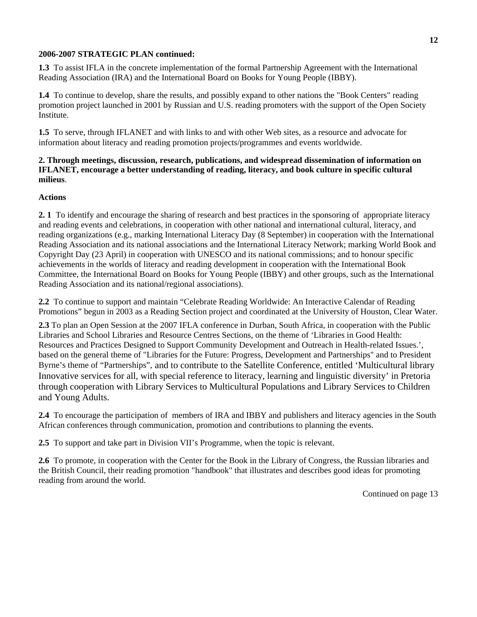## **2006-2007 STRATEGIC PLAN continued:**

**1.3** To assist IFLA in the concrete implementation of the formal Partnership Agreement with the International Reading Association (IRA) and the International Board on Books for Young People (IBBY).

**1.4** To continue to develop, share the results, and possibly expand to other nations the "Book Centers" reading promotion project launched in 2001 by Russian and U.S. reading promoters with the support of the Open Society Institute.

**1.5** To serve, through IFLANET and with links to and with other Web sites, as a resource and advocate for information about literacy and reading promotion projects/programmes and events worldwide.

# **2. Through meetings, discussion, research, publications, and widespread dissemination of information on IFLANET, encourage a better understanding of reading, literacy, and book culture in specific cultural milieus**.

## **Actions**

**2. 1** To identify and encourage the sharing of research and best practices in the sponsoring of appropriate literacy and reading events and celebrations, in cooperation with other national and international cultural, literacy, and reading organizations (e.g., marking International Literacy Day (8 September) in cooperation with the International Reading Association and its national associations and the International Literacy Network; marking World Book and Copyright Day (23 April) in cooperation with UNESCO and its national commissions; and to honour specific achievements in the worlds of literacy and reading development in cooperation with the International Book Committee, the International Board on Books for Young People (IBBY) and other groups, such as the International Reading Association and its national/regional associations).

**2.2** To continue to support and maintain "Celebrate Reading Worldwide: An Interactive Calendar of Reading Promotions" begun in 2003 as a Reading Section project and coordinated at the University of Houston, Clear Water.

**2.3** To plan an Open Session at the 2007 IFLA conference in Durban, South Africa, in cooperation with the Public Libraries and School Libraries and Resource Centres Sections, on the theme of 'Libraries in Good Health: Resources and Practices Designed to Support Community Development and Outreach in Health-related Issues.', based on the general theme of "Libraries for the Future: Progress, Development and Partnerships" and to President Byrne's theme of "Partnerships", and to contribute to the Satellite Conference, entitled 'Multicultural library Innovative services for all, with special reference to literacy, learning and linguistic diversity' in Pretoria through cooperation with Library Services to Multicultural Populations and Library Services to Children and Young Adults.

**2.4** To encourage the participation of members of IRA and IBBY and publishers and literacy agencies in the South African conferences through communication, promotion and contributions to planning the events.

**2.5** To support and take part in Division VII's Programme, when the topic is relevant.

**2.6** To promote, in cooperation with the Center for the Book in the Library of Congress, the Russian libraries and the British Council, their reading promotion "handbook" that illustrates and describes good ideas for promoting reading from around the world.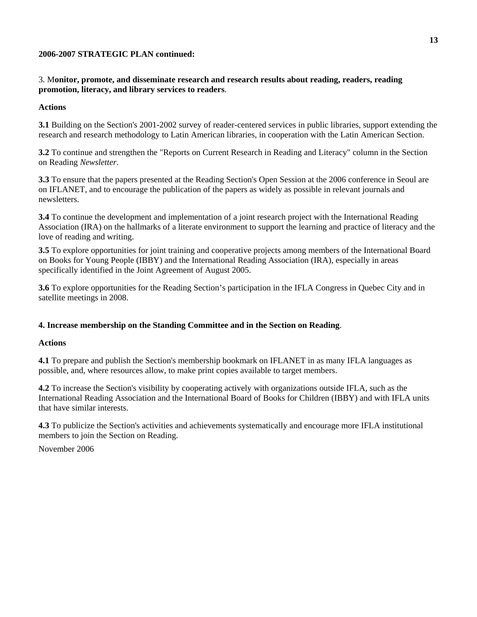# **2006-2007 STRATEGIC PLAN continued:**

# 3. M**onitor, promote, and disseminate research and research results about reading, readers, reading promotion, literacy, and library services to readers**.

# **Actions**

**3.1** Building on the Section's 2001-2002 survey of reader-centered services in public libraries, support extending the research and research methodology to Latin American libraries, in cooperation with the Latin American Section.

**3.2** To continue and strengthen the "Reports on Current Research in Reading and Literacy" column in the Section on Reading *Newsletter*.

**3.3** To ensure that the papers presented at the Reading Section's Open Session at the 2006 conference in Seoul are on IFLANET, and to encourage the publication of the papers as widely as possible in relevant journals and newsletters.

**3.4** To continue the development and implementation of a joint research project with the International Reading Association (IRA) on the hallmarks of a literate environment to support the learning and practice of literacy and the love of reading and writing.

**3.5** To explore opportunities for joint training and cooperative projects among members of the International Board on Books for Young People (IBBY) and the International Reading Association (IRA), especially in areas specifically identified in the Joint Agreement of August 2005.

**3.6** To explore opportunities for the Reading Section's participation in the IFLA Congress in Quebec City and in satellite meetings in 2008.

# **4. Increase membership on the Standing Committee and in the Section on Reading**.

## **Actions**

**4.1** To prepare and publish the Section's membership bookmark on IFLANET in as many IFLA languages as possible, and, where resources allow, to make print copies available to target members.

**4.2** To increase the Section's visibility by cooperating actively with organizations outside IFLA, such as the International Reading Association and the International Board of Books for Children (IBBY) and with IFLA units that have similar interests.

**4.3** To publicize the Section's activities and achievements systematically and encourage more IFLA institutional members to join the Section on Reading.

November 2006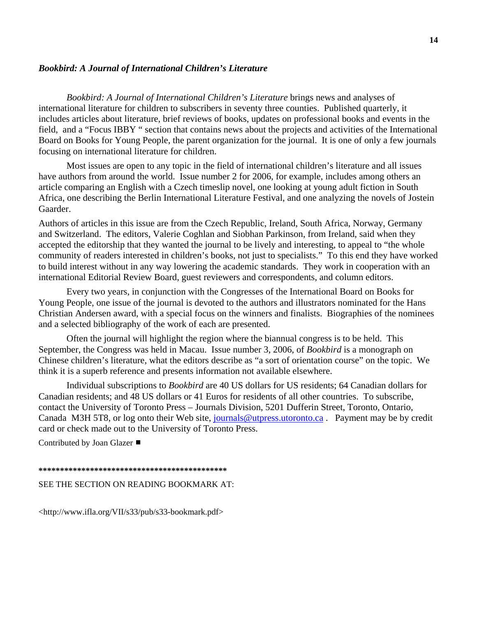#### *Bookbird: A Journal of International Children's Literature*

*Bookbird: A Journal of International Children's Literature* brings news and analyses of international literature for children to subscribers in seventy three counties. Published quarterly, it includes articles about literature, brief reviews of books, updates on professional books and events in the field, and a "Focus IBBY " section that contains news about the projects and activities of the International Board on Books for Young People, the parent organization for the journal. It is one of only a few journals focusing on international literature for children.

Most issues are open to any topic in the field of international children's literature and all issues have authors from around the world. Issue number 2 for 2006, for example, includes among others an article comparing an English with a Czech timeslip novel, one looking at young adult fiction in South Africa, one describing the Berlin International Literature Festival, and one analyzing the novels of Jostein Gaarder.

Authors of articles in this issue are from the Czech Republic, Ireland, South Africa, Norway, Germany and Switzerland. The editors, Valerie Coghlan and Siobhan Parkinson, from Ireland, said when they accepted the editorship that they wanted the journal to be lively and interesting, to appeal to "the whole community of readers interested in children's books, not just to specialists." To this end they have worked to build interest without in any way lowering the academic standards. They work in cooperation with an international Editorial Review Board, guest reviewers and correspondents, and column editors.

 Every two years, in conjunction with the Congresses of the International Board on Books for Young People, one issue of the journal is devoted to the authors and illustrators nominated for the Hans Christian Andersen award, with a special focus on the winners and finalists. Biographies of the nominees and a selected bibliography of the work of each are presented.

 Often the journal will highlight the region where the biannual congress is to be held. This September, the Congress was held in Macau. Issue number 3, 2006, of *Bookbird* is a monograph on Chinese children's literature, what the editors describe as "a sort of orientation course" on the topic. We think it is a superb reference and presents information not available elsewhere.

 Individual subscriptions to *Bookbird* are 40 US dollars for US residents; 64 Canadian dollars for Canadian residents; and 48 US dollars or 41 Euros for residents of all other countries. To subscribe, contact the University of Toronto Press – Journals Division, 5201 Dufferin Street, Toronto, Ontario, Canada M3H 5T8, or log onto their Web site, [journals@utpress.utoronto.ca](mailto:journals@utpress.utoronto.ca) . Payment may be by credit card or check made out to the University of Toronto Press.

Contributed by Joan Glazer ■

**\*\*\*\*\*\*\*\*\*\*\*\*\*\*\*\*\*\*\*\*\*\*\*\*\*\*\*\*\*\*\*\*\*\*\*\*\*\*\*\*\*\*\*\*** 

#### SEE THE SECTION ON READING BOOKMARK AT:

<http://www.ifla.org/VII/s33/pub/s33-bookmark.pdf>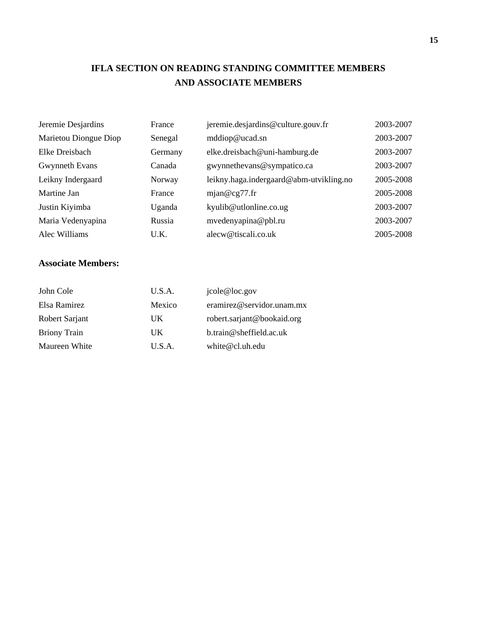# **IFLA SECTION ON READING STANDING COMMITTEE MEMBERS AND ASSOCIATE MEMBERS**

| Jeremie Desjardins    | France  | jeremie.desjardins@culture.gouv.fr      | 2003-2007 |
|-----------------------|---------|-----------------------------------------|-----------|
| Marietou Diongue Diop | Senegal | mddiop@ucad.sn                          | 2003-2007 |
| Elke Dreisbach        | Germany | elke.dreisbach@uni-hamburg.de           | 2003-2007 |
| Gwynneth Evans        | Canada  | gwynnethevans@sympatico.ca              | 2003-2007 |
| Leikny Indergaard     | Norway  | leikny.haga.indergaard@abm-utvikling.no | 2005-2008 |
| Martine Jan           | France  | mjan@cg77.fr                            | 2005-2008 |
| Justin Kiyimba        | Uganda  | kyulib@utlonline.co.ug                  | 2003-2007 |
| Maria Vedenyapina     | Russia  | mvedenyapina@pbl.ru                     | 2003-2007 |
| Alec Williams         | U.K.    | alecw@tiscali.co.uk                     | 2005-2008 |

# **Associate Members:**

| John Cole           | U.S.A. | jcole@loc.gov              |
|---------------------|--------|----------------------------|
| Elsa Ramirez        | Mexico | eramirez@servidor.unam.mx  |
| Robert Sarjant      | UK     | robert.sarjant@bookaid.org |
| <b>Briony Train</b> | UK     | $b.$ train@sheffield.ac.uk |
| Maureen White       | U.S.A. | white $@$ cl.uh.edu        |